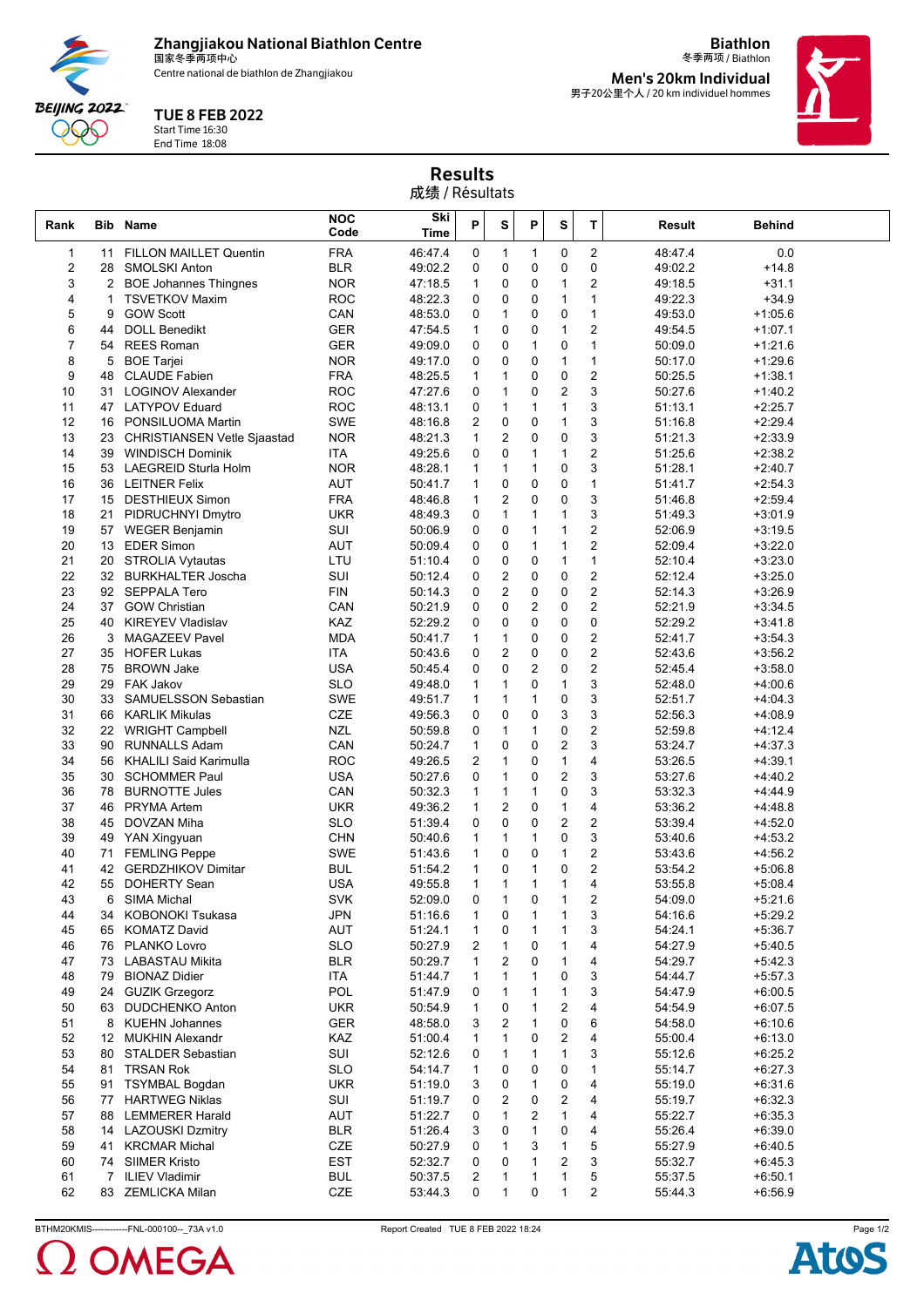**Zhangjiakou National Biathlon Centre** 国家冬季两项中心

Centre national de biathlon de Zhangjiakou



## TUE 8 FEB 2022

Start Time 16:30 End Time 18:08

冬季两项 / Biathlon **Men's 20km Individual** 男子20公里个人 / 20 km individuel hommes

**Biathlon**



Results 成绩 / Résultats

| Rank     |          | <b>Bib Name</b>                                   | <b>NOC</b><br>Code       | Ski<br>Time        | P                 | S              | P                       | S                       | T                            | <b>Result</b>      | <b>Behind</b>          |  |
|----------|----------|---------------------------------------------------|--------------------------|--------------------|-------------------|----------------|-------------------------|-------------------------|------------------------------|--------------------|------------------------|--|
| 1        | 11       | <b>FILLON MAILLET Quentin</b>                     | <b>FRA</b>               | 46:47.4            | 0                 | 1              | $\mathbf{1}$            | 0                       | $\overline{c}$               | 48:47.4            | 0.0                    |  |
| 2        | 28       | <b>SMOLSKI Anton</b>                              | <b>BLR</b>               | 49:02.2            | 0                 | 0              | 0                       | 0                       | 0                            | 49:02.2            | $+14.8$                |  |
| 3        | 2        | <b>BOE Johannes Thingnes</b>                      | <b>NOR</b>               | 47:18.5            | 1                 | 0              | 0                       | 1                       | $\overline{2}$               | 49:18.5            | $+31.1$                |  |
| 4        | 1        | <b>TSVETKOV Maxim</b>                             | <b>ROC</b>               | 48:22.3            | 0                 | 0              | $\mathbf 0$             | 1                       | $\mathbf{1}$                 | 49:22.3            | $+34.9$                |  |
| 5        | 9        | <b>GOW Scott</b>                                  | CAN                      | 48:53.0            | 0                 | $\mathbf{1}$   | 0                       | 0                       | $\mathbf{1}$                 | 49:53.0            | $+1:05.6$              |  |
| 6        | 44       | <b>DOLL Benedikt</b>                              | <b>GER</b>               | 47:54.5            | $\mathbf{1}$      | 0              | 0                       | 1                       | $\overline{2}$               | 49:54.5            | $+1:07.1$              |  |
| 7        | 54       | <b>REES Roman</b>                                 | GER                      | 49:09.0            | 0                 | 0              | 1                       | 0                       | $\mathbf{1}$                 | 50:09.0            | $+1:21.6$              |  |
| 8        | 5        | <b>BOE Tarjei</b>                                 | <b>NOR</b>               | 49:17.0            | 0                 | 0              | 0                       | $\mathbf{1}$            | $\mathbf{1}$                 | 50:17.0            | $+1:29.6$              |  |
| 9        | 48       | <b>CLAUDE Fabien</b>                              | <b>FRA</b>               | 48:25.5            | $\mathbf{1}$      | 1              | 0                       | 0                       | $\overline{2}$               | 50:25.5            | $+1:38.1$              |  |
| 10       | 31       | <b>LOGINOV Alexander</b>                          | <b>ROC</b>               | 47:27.6            | 0                 | 1              | 0                       | $\overline{\mathbf{c}}$ | 3                            | 50:27.6            | $+1:40.2$              |  |
| 11       | 47       | <b>LATYPOV Eduard</b>                             | <b>ROC</b>               | 48:13.1            | 0                 | 1              | $\mathbf{1}$            | $\mathbf{1}$            | 3                            | 51:13.1            | $+2:25.7$              |  |
| 12       | 16       | PONSILUOMA Martin                                 | <b>SWE</b>               | 48:16.8            | 2                 | 0              | 0                       | 1                       | 3                            | 51:16.8            | $+2:29.4$              |  |
| 13       | 23       | <b>CHRISTIANSEN Vetle Sjaastad</b>                | <b>NOR</b>               | 48:21.3            | 1                 | 2              | 0                       | 0                       | 3                            | 51:21.3            | $+2:33.9$              |  |
| 14       | 39       | <b>WINDISCH Dominik</b>                           | ITA                      | 49:25.6            | 0                 | 0              | $\mathbf{1}$            | $\mathbf{1}$            | $\overline{2}$               | 51:25.6            | $+2:38.2$              |  |
| 15       | 53       | LAEGREID Sturla Holm                              | <b>NOR</b>               | 48:28.1            | 1                 | $\mathbf{1}$   | 1                       | 0                       | 3                            | 51:28.1            | $+2:40.7$              |  |
| 16       | 36       | <b>LEITNER Felix</b>                              | AUT                      | 50:41.7            | $\mathbf{1}$      | 0              | 0                       | 0                       | $\mathbf{1}$                 | 51:41.7            | $+2:54.3$              |  |
| 17       | 15       | <b>DESTHIEUX Simon</b>                            | <b>FRA</b>               | 48:46.8            | $\mathbf{1}$      | $\overline{2}$ | 0                       | 0                       | 3                            | 51:46.8            | $+2:59.4$              |  |
| 18       | 21       | PIDRUCHNYI Dmytro                                 | <b>UKR</b>               | 48:49.3            | 0                 | $\mathbf{1}$   | 1                       | 1                       | 3                            | 51:49.3            | $+3:01.9$              |  |
| 19       | 57       | <b>WEGER Benjamin</b>                             | SUI                      | 50:06.9            | 0                 | 0              | $\mathbf{1}$            | 1                       | $\overline{2}$               | 52:06.9            | $+3:19.5$              |  |
| 20       | 13       | <b>EDER Simon</b>                                 | AUT                      | 50:09.4            | 0                 | 0              | 1                       | 1                       | $\mathbf 2$                  | 52:09.4            | $+3:22.0$              |  |
| 21       | 20       | STROLIA Vytautas                                  | LTU                      | 51:10.4            | 0                 | 0              | 0                       | 1                       | $\mathbf{1}$                 | 52:10.4            | $+3:23.0$              |  |
| 22       |          | 32 BURKHALTER Joscha                              | SUI                      | 50:12.4            | 0                 | $\overline{2}$ | 0                       | 0                       | $\overline{2}$               | 52:12.4            | $+3:25.0$              |  |
| 23       | 92       | <b>SEPPALA Tero</b>                               | FIN                      | 50:14.3            | 0                 | $\overline{2}$ | 0                       | 0                       | $\mathbf 2$                  | 52:14.3            | $+3:26.9$              |  |
| 24       | 37       | <b>GOW Christian</b>                              | CAN                      | 50:21.9            | 0                 | 0              | 2                       | 0                       | $\overline{2}$               | 52:21.9            | $+3:34.5$              |  |
| 25       | 40       | <b>KIREYEV Vladislav</b>                          | KAZ                      | 52:29.2            | 0                 | 0              | 0                       | 0                       | 0                            | 52:29.2            | $+3:41.8$              |  |
| 26       | 3        | <b>MAGAZEEV Pavel</b>                             | <b>MDA</b>               | 50:41.7            | 1                 | 1              | 0                       | 0                       | $\mathbf 2$                  | 52:41.7            | $+3:54.3$              |  |
| 27       | 35       | <b>HOFER Lukas</b>                                | ITA                      | 50:43.6            | $\mathbf 0$       | $\overline{2}$ | 0                       | 0                       | $\mathbf 2$                  | 52:43.6            | $+3:56.2$              |  |
| 28       | 75       | <b>BROWN Jake</b>                                 | <b>USA</b>               | 50:45.4            | 0                 | 0              | $\overline{\mathbf{c}}$ | 0                       | $\mathbf 2$                  | 52:45.4            | $+3:58.0$              |  |
| 29       | 29       | <b>FAK Jakov</b>                                  | <b>SLO</b>               | 49:48.0            | $\mathbf{1}$      | $\mathbf{1}$   | 0                       | $\mathbf{1}$            | 3                            | 52:48.0            | $+4:00.6$              |  |
| 30       | 33       | SAMUELSSON Sebastian                              | <b>SWE</b>               | 49:51.7            | 1                 | $\mathbf{1}$   | 1                       | 0                       | 3                            | 52:51.7            | $+4:04.3$              |  |
| 31       | 66       | <b>KARLIK Mikulas</b>                             | CZE                      | 49:56.3            | 0                 | 0              | 0                       | 3                       | 3                            | 52:56.3            | $+4:08.9$              |  |
| 32       | 22       | <b>WRIGHT Campbell</b>                            | <b>NZL</b>               | 50:59.8            | 0                 | $\mathbf{1}$   | $\mathbf{1}$            | 0                       | $\overline{2}$               | 52:59.8            | $+4:12.4$              |  |
| 33       | 90       | <b>RUNNALLS Adam</b>                              | CAN                      | 50:24.7            | 1                 | 0              | 0                       | $\overline{c}$          | 3<br>$\overline{\mathbf{4}}$ | 53:24.7            | $+4:37.3$              |  |
| 34<br>35 | 56       | <b>KHALILI Said Karimulla</b>                     | <b>ROC</b>               | 49:26.5            | 2                 | $\mathbf{1}$   | 0                       | $\mathbf{1}$            |                              | 53:26.5            | $+4:39.1$              |  |
|          | 30       | <b>SCHOMMER Paul</b>                              | <b>USA</b>               | 50:27.6            | 0                 | $\mathbf{1}$   | 0<br>1                  | $\overline{2}$<br>0     | 3<br>3                       | 53:27.6            | $+4:40.2$              |  |
| 36       | 78       | <b>BURNOTTE Jules</b>                             | CAN                      | 50:32.3            | 1                 | 1              | 0                       | $\mathbf{1}$            | $\overline{\mathbf{4}}$      | 53:32.3            | $+4:44.9$              |  |
| 37<br>38 | 46<br>45 | <b>PRYMA</b> Artem<br>DOVZAN Miha                 | <b>UKR</b><br><b>SLO</b> | 49:36.2<br>51:39.4 | 1<br>0            | 2<br>0         | 0                       | $\overline{2}$          | $\overline{c}$               | 53:36.2<br>53:39.4 | $+4:48.8$              |  |
| 39       | 49       |                                                   | <b>CHN</b>               |                    |                   | 1              | 1                       | 0                       | 3                            |                    | $+4:52.0$              |  |
| 40       | 71       | YAN Xingyuan                                      | <b>SWE</b>               | 50:40.6            | 1<br>$\mathbf{1}$ | 0              | 0                       | $\mathbf{1}$            | $\overline{c}$               | 53:40.6            | $+4:53.2$<br>$+4:56.2$ |  |
| 41       | 42       | <b>FEMLING Peppe</b><br><b>GERDZHIKOV Dimitar</b> | <b>BUL</b>               | 51:43.6            |                   | 0              | 1                       | 0                       | $\overline{c}$               | 53:43.6<br>53:54.2 |                        |  |
| 42       | 55       | <b>DOHERTY Sean</b>                               | USA                      | 51:54.2<br>49:55.8 | 1<br>1            | 1              | 1                       | 1                       | 4                            | 53:55.8            | $+5:06.8$<br>$+5:08.4$ |  |
| 43       | 6        | <b>SIMA Michal</b>                                | SVK                      | 52:09.0            | $\mathbf 0$       | 1              | 0                       | 1                       | $\overline{2}$               | 54:09.0            | $+5:21.6$              |  |
| 44       | 34       | KOBONOKI Tsukasa                                  | <b>JPN</b>               | 51:16.6            | 1                 | 0              | $\mathbf{1}$            | $\mathbf{1}$            | 3                            | 54:16.6            | $+5:29.2$              |  |
| 45       | 65       | <b>KOMATZ David</b>                               | <b>AUT</b>               | 51:24.1            | 1                 | 0              | 1                       | 1                       | 3                            | 54:24.1            | $+5:36.7$              |  |
| 46       | 76       | PLANKO Lovro                                      | <b>SLO</b>               | 50:27.9            | 2                 | 1              | 0                       | 1                       | 4                            | 54:27.9            | $+5:40.5$              |  |
| 47       | 73       | <b>LABASTAU Mikita</b>                            | <b>BLR</b>               | 50:29.7            | 1                 | 2              | 0                       | 1                       | 4                            | 54:29.7            | $+5:42.3$              |  |
| 48       | 79       | <b>BIONAZ Didier</b>                              | ITA                      | 51:44.7            | 1                 | 1              | 1                       | 0                       | 3                            | 54:44.7            | $+5:57.3$              |  |
| 49       | 24       | <b>GUZIK Grzegorz</b>                             | POL                      | 51:47.9            | 0                 | 1              | 1                       | 1                       | 3                            | 54:47.9            | $+6:00.5$              |  |
| 50       | 63       | <b>DUDCHENKO Anton</b>                            | <b>UKR</b>               | 50:54.9            |                   | 0              | 1                       | 2                       | 4                            | 54:54.9            | $+6:07.5$              |  |
| 51       | 8        | <b>KUEHN Johannes</b>                             | GER                      | 48:58.0            | 3                 | 2              | 1                       | 0                       | 6                            | 54:58.0            | $+6:10.6$              |  |
| 52       | 12       | <b>MUKHIN Alexandr</b>                            | KAZ                      | 51:00.4            | $\mathbf{1}$      | $\mathbf{1}$   | 0                       | 2                       | 4                            | 55:00.4            | $+6:13.0$              |  |
| 53       | 80       | STALDER Sebastian                                 | SUI                      | 52:12.6            | 0                 | 1              | 1                       | 1                       | 3                            | 55:12.6            | $+6:25.2$              |  |
| 54       | 81       | <b>TRSAN Rok</b>                                  | <b>SLO</b>               | 54:14.7            | 1                 | 0              | 0                       | 0                       | $\mathbf{1}$                 | 55:14.7            | $+6:27.3$              |  |
| 55       | 91       | <b>TSYMBAL Bogdan</b>                             | <b>UKR</b>               | 51:19.0            | 3                 | 0              | 1                       | 0                       | 4                            | 55:19.0            | $+6:31.6$              |  |
| 56       | 77       | <b>HARTWEG Niklas</b>                             | SUI                      | 51:19.7            | 0                 | 2              | 0                       | 2                       | 4                            | 55:19.7            | $+6:32.3$              |  |
| 57       | 88       | <b>LEMMERER Harald</b>                            | AUT                      | 51:22.7            | 0                 | 1              | $\overline{2}$          | $\mathbf{1}$            | 4                            | 55:22.7            | $+6:35.3$              |  |
| 58       | 14       | <b>LAZOUSKI Dzmitry</b>                           | BLR                      | 51:26.4            | 3                 | 0              | $\mathbf{1}$            | 0                       | 4                            | 55:26.4            | $+6:39.0$              |  |
| 59       | 41       | <b>KRCMAR Michal</b>                              | CZE                      | 50:27.9            | 0                 | 1              | 3                       | 1                       | 5                            | 55:27.9            | $+6:40.5$              |  |
| 60       | 74       | <b>SIIMER Kristo</b>                              | EST                      | 52:32.7            | 0                 | 0              | 1                       | 2                       | 3                            | 55:32.7            | $+6:45.3$              |  |
| 61       | 7        | <b>ILIEV Vladimir</b>                             | <b>BUL</b>               | 50:37.5            | $\overline{2}$    | 1              | 1                       | 1                       | 5                            | 55:37.5            | $+6:50.1$              |  |
| 62       | 83       | ZEMLICKA Milan                                    | CZE                      | 53:44.3            | 0                 | 1              | 0                       | 1                       | $\overline{2}$               | 55:44.3            | $+6:56.9$              |  |
|          |          |                                                   |                          |                    |                   |                |                         |                         |                              |                    |                        |  |